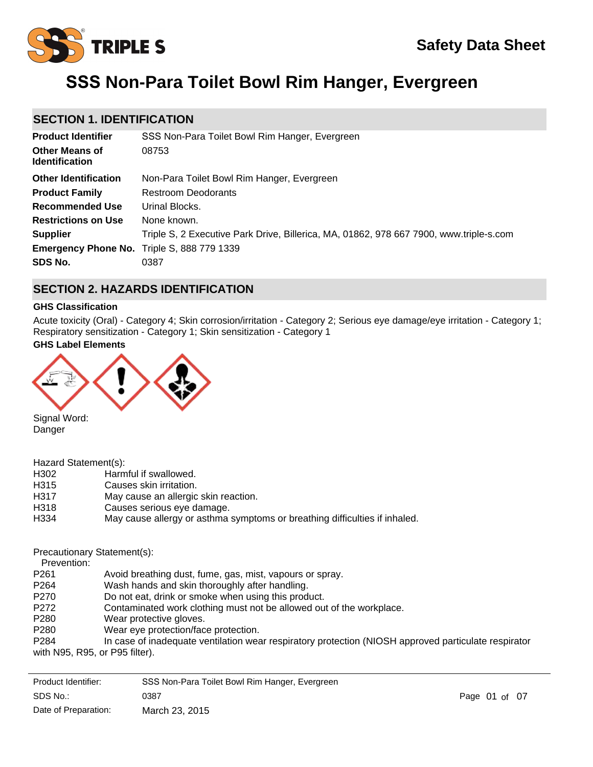# **SSS Non-Para Toilet Bowl Rim Hanger, Evergreen**

### **SECTION 1. IDENTIFICATION**

| <b>Product Identifier</b>                         | SSS Non-Para Toilet Bowl Rim Hanger, Evergreen                                         |
|---------------------------------------------------|----------------------------------------------------------------------------------------|
| <b>Other Means of</b><br><b>Identification</b>    | 08753                                                                                  |
| <b>Other Identification</b>                       | Non-Para Toilet Bowl Rim Hanger, Evergreen                                             |
| <b>Product Family</b>                             | <b>Restroom Deodorants</b>                                                             |
| <b>Recommended Use</b>                            | Urinal Blocks.                                                                         |
| <b>Restrictions on Use</b>                        | None known.                                                                            |
| <b>Supplier</b>                                   | Triple S, 2 Executive Park Drive, Billerica, MA, 01862, 978 667 7900, www.triple-s.com |
| <b>Emergency Phone No.</b> Triple S, 888 779 1339 |                                                                                        |
| SDS No.                                           | 0387                                                                                   |

### **SECTION 2. HAZARDS IDENTIFICATION**

### **GHS Classification**

Acute toxicity (Oral) - Category 4; Skin corrosion/irritation - Category 2; Serious eye damage/eye irritation - Category 1; Respiratory sensitization - Category 1; Skin sensitization - Category 1

#### **GHS Label Elements**



Signal Word: Danger

|  | Hazard Statement(s): |  |  |
|--|----------------------|--|--|
|--|----------------------|--|--|

- H302 Harmful if swallowed.
- H315 Causes skin irritation.
- H317 May cause an allergic skin reaction.
- H318 Causes serious eye damage.
- H334 May cause allergy or asthma symptoms or breathing difficulties if inhaled.

Precautionary Statement(s):

Prevention:

- P261 Avoid breathing dust, fume, gas, mist, vapours or spray.
- P264 Wash hands and skin thoroughly after handling.
- P270 Do not eat, drink or smoke when using this product.
- P272 Contaminated work clothing must not be allowed out of the workplace.
- P280 Wear protective gloves.
- P280 Wear eye protection/face protection.
- P284 In case of inadequate ventilation wear respiratory protection (NIOSH approved particulate respirator with N95, R95, or P95 filter).

| Product Identifier:  | SSS Non-Para Toilet Bowl Rim Hanger, Evergreen |               |  |
|----------------------|------------------------------------------------|---------------|--|
| SDS No.:             | 0387                                           | Page 01 of 07 |  |
| Date of Preparation: | March 23, 2015                                 |               |  |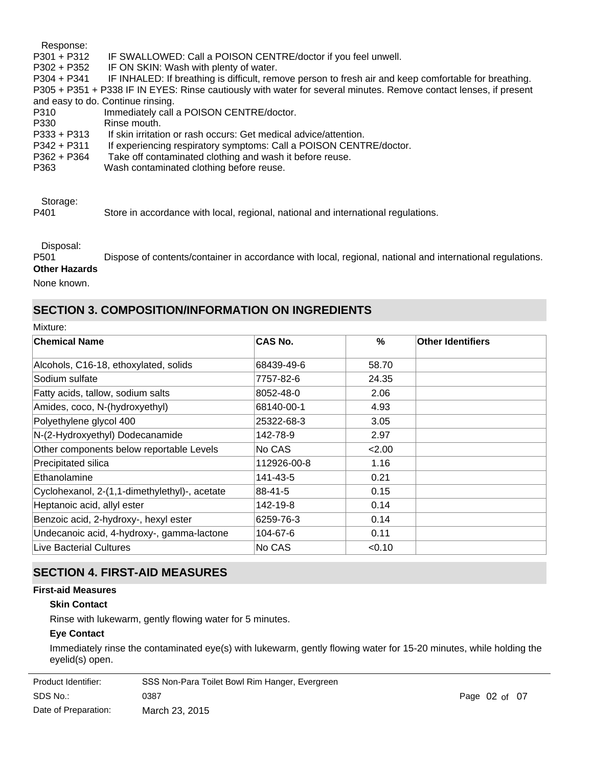Response: P301 + P312 IF SWALLOWED: Call a POISON CENTRE/doctor if you feel unwell. P302 + P352 IF ON SKIN: Wash with plenty of water. P304 + P341 IF INHALED: If breathing is difficult, remove person to fresh air and keep comfortable for breathing. P305 + P351 + P338 IF IN EYES: Rinse cautiously with water for several minutes. Remove contact lenses, if present and easy to do. Continue rinsing. P310 Immediately call a POISON CENTRE/doctor. P330 Rinse mouth. P333 + P313 If skin irritation or rash occurs: Get medical advice/attention. P342 + P311 If experiencing respiratory symptoms: Call a POISON CENTRE/doctor. P362 + P364 Take off contaminated clothing and wash it before reuse. P363 Wash contaminated clothing before reuse.

Storage:

P401 Store in accordance with local, regional, national and international regulations.

Disposal:

P501 Dispose of contents/container in accordance with local, regional, national and international regulations. **Other Hazards**

None known.

### **SECTION 3. COMPOSITION/INFORMATION ON INGREDIENTS**

| Mixture: |  |
|----------|--|
|          |  |

| <b>Chemical Name</b>                          | <b>CAS No.</b> | $\%$   | <b>Other Identifiers</b> |
|-----------------------------------------------|----------------|--------|--------------------------|
| Alcohols, C16-18, ethoxylated, solids         | 68439-49-6     | 58.70  |                          |
| Sodium sulfate                                | 7757-82-6      | 24.35  |                          |
| Fatty acids, tallow, sodium salts             | 8052-48-0      | 2.06   |                          |
| Amides, coco, N-(hydroxyethyl)                | 68140-00-1     | 4.93   |                          |
| Polyethylene glycol 400                       | 25322-68-3     | 3.05   |                          |
| N-(2-Hydroxyethyl) Dodecanamide               | 142-78-9       | 2.97   |                          |
| Other components below reportable Levels      | No CAS         | 2.00   |                          |
| Precipitated silica                           | 112926-00-8    | 1.16   |                          |
| Ethanolamine                                  | 141-43-5       | 0.21   |                          |
| Cyclohexanol, 2-(1,1-dimethylethyl)-, acetate | 88-41-5        | 0.15   |                          |
| Heptanoic acid, allyl ester                   | 142-19-8       | 0.14   |                          |
| Benzoic acid, 2-hydroxy-, hexyl ester         | 6259-76-3      | 0.14   |                          |
| Undecanoic acid, 4-hydroxy-, gamma-lactone    | 104-67-6       | 0.11   |                          |
| Live Bacterial Cultures                       | No CAS         | < 0.10 |                          |

# **SECTION 4. FIRST-AID MEASURES**

### **First-aid Measures**

# **Skin Contact**

Rinse with lukewarm, gently flowing water for 5 minutes.

### **Eye Contact**

Immediately rinse the contaminated eye(s) with lukewarm, gently flowing water for 15-20 minutes, while holding the eyelid(s) open.

| Product Identifier:  | SSS Non-Para Toilet Bowl Rim Hanger, Evergreen |
|----------------------|------------------------------------------------|
| SDS No.:             | 0387                                           |
| Date of Preparation: | March 23, 2015                                 |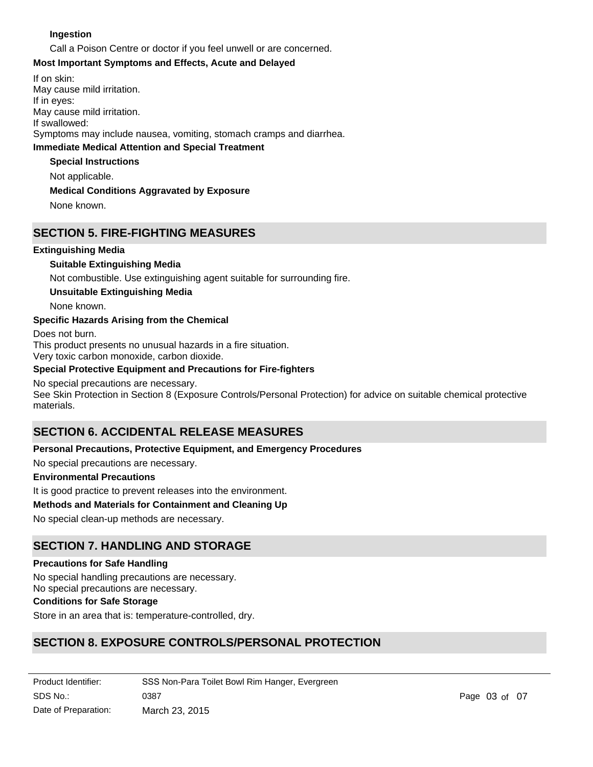### **Ingestion**

Call a Poison Centre or doctor if you feel unwell or are concerned.

#### **Most Important Symptoms and Effects, Acute and Delayed**

**Immediate Medical Attention and Special Treatment** If on skin: May cause mild irritation. If in eyes: May cause mild irritation. If swallowed: Symptoms may include nausea, vomiting, stomach cramps and diarrhea.

#### **Special Instructions**

Not applicable.

### **Medical Conditions Aggravated by Exposure**

None known.

### **SECTION 5. FIRE-FIGHTING MEASURES**

### **Extinguishing Media**

### **Suitable Extinguishing Media**

Not combustible. Use extinguishing agent suitable for surrounding fire.

### **Unsuitable Extinguishing Media**

None known.

### **Specific Hazards Arising from the Chemical**

Does not burn. This product presents no unusual hazards in a fire situation. Very toxic carbon monoxide, carbon dioxide.

### **Special Protective Equipment and Precautions for Fire-fighters**

#### No special precautions are necessary.

See Skin Protection in Section 8 (Exposure Controls/Personal Protection) for advice on suitable chemical protective materials.

# **SECTION 6. ACCIDENTAL RELEASE MEASURES**

### **Personal Precautions, Protective Equipment, and Emergency Procedures**

No special precautions are necessary.

### **Environmental Precautions**

It is good practice to prevent releases into the environment.

#### **Methods and Materials for Containment and Cleaning Up**

No special clean-up methods are necessary.

### **SECTION 7. HANDLING AND STORAGE**

#### **Precautions for Safe Handling**

No special handling precautions are necessary.

No special precautions are necessary.

# **Conditions for Safe Storage**

Store in an area that is: temperature-controlled, dry.

### **SECTION 8. EXPOSURE CONTROLS/PERSONAL PROTECTION**

| Product Identifier:  | SSS Non-Para Toilet Bowl Rim Hanger, Evergreen |
|----------------------|------------------------------------------------|
| SDS No.:             | 0387                                           |
| Date of Preparation: | March 23, 2015                                 |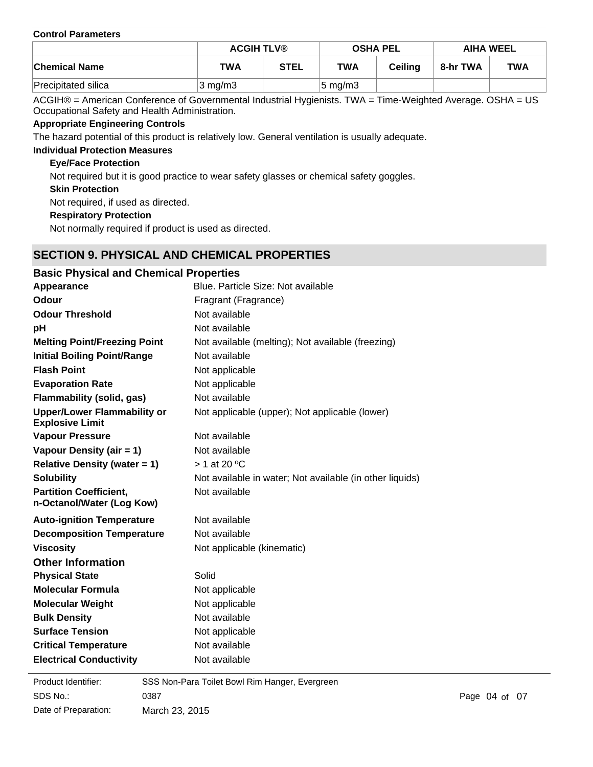#### **Control Parameters**

|                      | <b>ACGIH TLV®</b>  |             | <b>OSHA PEL</b>     |                | <b>AIHA WEEL</b> |            |
|----------------------|--------------------|-------------|---------------------|----------------|------------------|------------|
| <b>Chemical Name</b> | <b>TWA</b>         | <b>STEL</b> | <b>TWA</b>          | <b>Ceiling</b> | 8-hr TWA         | <b>TWA</b> |
| Precipitated silica  | $3 \text{ mg/m}$ 3 |             | $ 5 \text{ mg/m}$ 3 |                |                  |            |

ACGIH® = American Conference of Governmental Industrial Hygienists. TWA = Time-Weighted Average. OSHA = US Occupational Safety and Health Administration.

### **Appropriate Engineering Controls**

The hazard potential of this product is relatively low. General ventilation is usually adequate.

### **Individual Protection Measures**

### **Eye/Face Protection**

Not required but it is good practice to wear safety glasses or chemical safety goggles.

**Skin Protection**

Not required, if used as directed.

**Respiratory Protection**

Not normally required if product is used as directed.

### **SECTION 9. PHYSICAL AND CHEMICAL PROPERTIES**

| <b>Basic Physical and Chemical Properties</b>                |                                                          |
|--------------------------------------------------------------|----------------------------------------------------------|
| Appearance                                                   | Blue. Particle Size: Not available                       |
| Odour                                                        | Fragrant (Fragrance)                                     |
| <b>Odour Threshold</b>                                       | Not available                                            |
| рH                                                           | Not available                                            |
| <b>Melting Point/Freezing Point</b>                          | Not available (melting); Not available (freezing)        |
| <b>Initial Boiling Point/Range</b>                           | Not available                                            |
| <b>Flash Point</b>                                           | Not applicable                                           |
| <b>Evaporation Rate</b>                                      | Not applicable                                           |
| Flammability (solid, gas)                                    | Not available                                            |
| <b>Upper/Lower Flammability or</b><br><b>Explosive Limit</b> | Not applicable (upper); Not applicable (lower)           |
| <b>Vapour Pressure</b>                                       | Not available                                            |
| Vapour Density (air = 1)                                     | Not available                                            |
| Relative Density (water $= 1$ )                              | $>$ 1 at 20 °C                                           |
| <b>Solubility</b>                                            | Not available in water; Not available (in other liquids) |
| <b>Partition Coefficient,</b><br>n-Octanol/Water (Log Kow)   | Not available                                            |
| <b>Auto-ignition Temperature</b>                             | Not available                                            |
| <b>Decomposition Temperature</b>                             | Not available                                            |
| <b>Viscosity</b>                                             | Not applicable (kinematic)                               |
| <b>Other Information</b>                                     |                                                          |
| <b>Physical State</b>                                        | Solid                                                    |
| <b>Molecular Formula</b>                                     | Not applicable                                           |
| <b>Molecular Weight</b>                                      | Not applicable                                           |
| <b>Bulk Density</b>                                          | Not available                                            |
| <b>Surface Tension</b>                                       | Not applicable                                           |
| <b>Critical Temperature</b>                                  | Not available                                            |
| <b>Electrical Conductivity</b>                               | Not available                                            |

**Product Identifier:** SDS No.: Date of Preparation: 0387 Page 04 of 07 March 23, 2015 SSS Non-Para Toilet Bowl Rim Hanger, Evergreen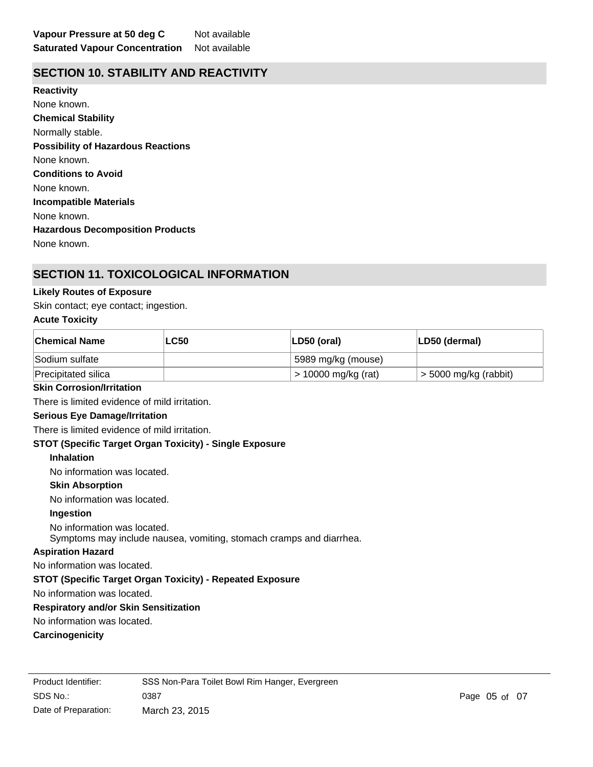### **SECTION 10. STABILITY AND REACTIVITY**

**Chemical Stability** Normally stable. **Conditions to Avoid** None known. **Incompatible Materials** None known. **Hazardous Decomposition Products** None known. **Possibility of Hazardous Reactions** None known. **Reactivity** None known.

### **SECTION 11. TOXICOLOGICAL INFORMATION**

### **Likely Routes of Exposure**

Skin contact; eye contact; ingestion.

#### **Acute Toxicity**

| <b>Chemical Name</b>                                             | <b>LC50</b>                                                         | LD50 (oral)         | LD50 (dermal)           |
|------------------------------------------------------------------|---------------------------------------------------------------------|---------------------|-------------------------|
| Sodium sulfate                                                   |                                                                     | 5989 mg/kg (mouse)  |                         |
| Precipitated silica                                              |                                                                     | > 10000 mg/kg (rat) | $>$ 5000 mg/kg (rabbit) |
| <b>Skin Corrosion/Irritation</b>                                 |                                                                     |                     |                         |
| There is limited evidence of mild irritation.                    |                                                                     |                     |                         |
| <b>Serious Eye Damage/Irritation</b>                             |                                                                     |                     |                         |
| There is limited evidence of mild irritation.                    |                                                                     |                     |                         |
| <b>STOT (Specific Target Organ Toxicity) - Single Exposure</b>   |                                                                     |                     |                         |
| <b>Inhalation</b>                                                |                                                                     |                     |                         |
| No information was located.                                      |                                                                     |                     |                         |
| <b>Skin Absorption</b>                                           |                                                                     |                     |                         |
| No information was located.                                      |                                                                     |                     |                         |
| Ingestion                                                        |                                                                     |                     |                         |
| No information was located.                                      | Symptoms may include nausea, vomiting, stomach cramps and diarrhea. |                     |                         |
| <b>Aspiration Hazard</b>                                         |                                                                     |                     |                         |
| No information was located.                                      |                                                                     |                     |                         |
| <b>STOT (Specific Target Organ Toxicity) - Repeated Exposure</b> |                                                                     |                     |                         |
| No information was located.                                      |                                                                     |                     |                         |
| <b>Respiratory and/or Skin Sensitization</b>                     |                                                                     |                     |                         |
| No information was located.                                      |                                                                     |                     |                         |
| Carcinogenicity                                                  |                                                                     |                     |                         |
|                                                                  |                                                                     |                     |                         |

SDS No.: Date of Preparation: 0387 Page 05 of 07 March 23, 2015 Product Identifier: SSS Non-Para Toilet Bowl Rim Hanger, Evergreen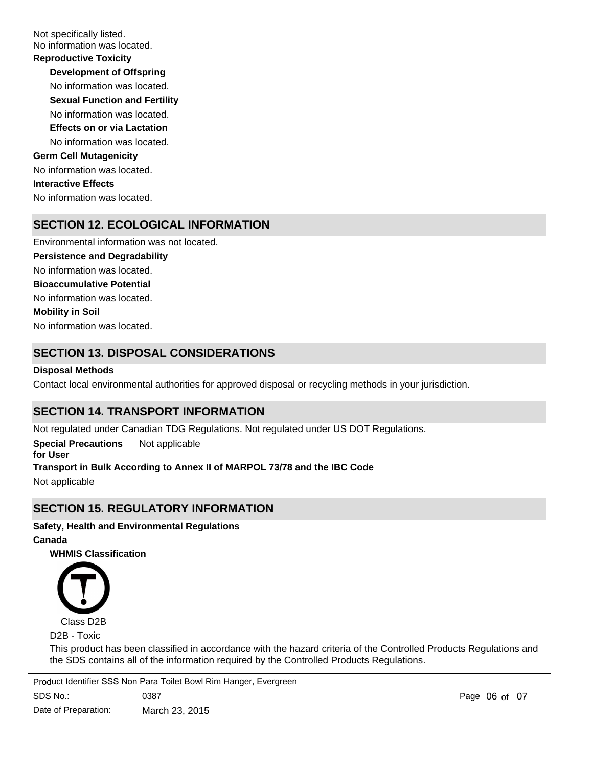Not specifically listed. No information was located.

**Development of Offspring** No information was located. **Reproductive Toxicity** No information was located. **Germ Cell Mutagenicity** No information was located. **Interactive Effects** No information was located. **Sexual Function and Fertility Effects on or via Lactation** No information was located.

# **SECTION 12. ECOLOGICAL INFORMATION**

No information was located. No information was located. Environmental information was not located. No information was located. **Persistence and Degradability Mobility in Soil Bioaccumulative Potential**

# **SECTION 13. DISPOSAL CONSIDERATIONS**

### **Disposal Methods**

Contact local environmental authorities for approved disposal or recycling methods in your jurisdiction.

### **SECTION 14. TRANSPORT INFORMATION**

Not regulated under Canadian TDG Regulations. Not regulated under US DOT Regulations.

**Special Precautions for User** Not applicable **Transport in Bulk According to Annex II of MARPOL 73/78 and the IBC Code**

Not applicable

### **SECTION 15. REGULATORY INFORMATION**

### **Safety, Health and Environmental Regulations**

**Canada**

**WHMIS Classification**



D2B - Toxic

This product has been classified in accordance with the hazard criteria of the Controlled Products Regulations and the SDS contains all of the information required by the Controlled Products Regulations.

SDS No.: 0387 Page of 0706 Product Identifier SSS Non Para Toilet Bowl Rim Hanger, Evergreen

Date of Preparation: March 23, 2015